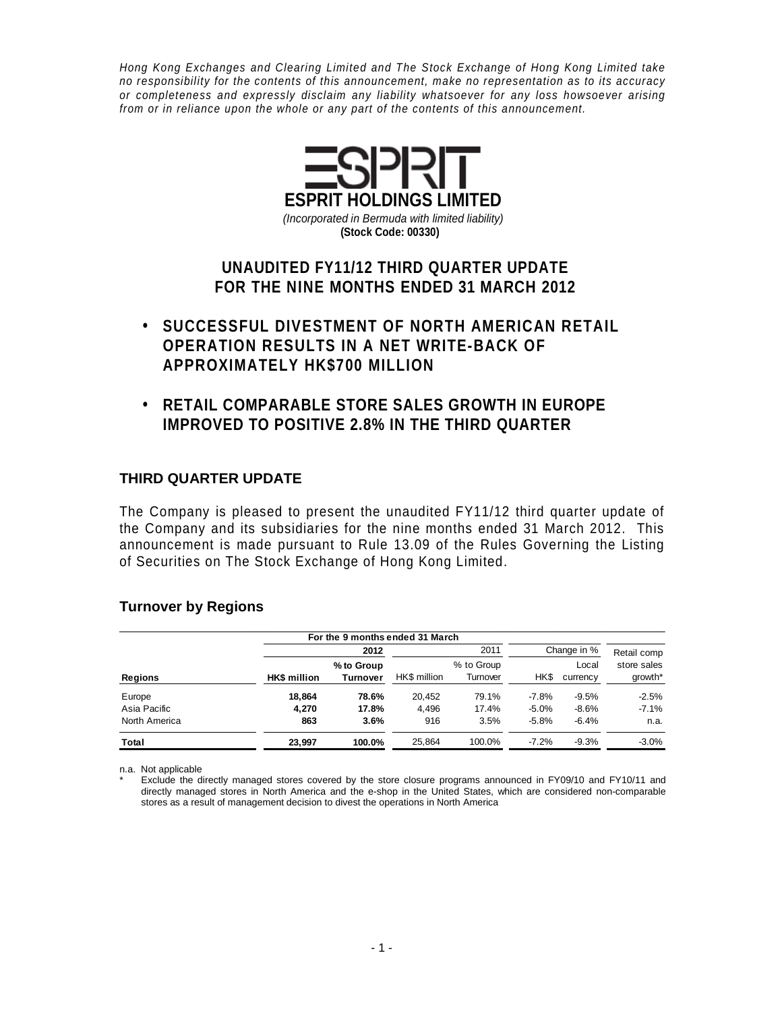Hong Kong Exchanges and Clearing Limited and The Stock Exchange of Hong Kong Limited take no responsibility for the contents of this announcement, make no representation as to its accuracy or completeness and expressly disclaim any liability whatsoever for any loss howsoever arising from or in reliance upon the whole or any part of the contents of this announcement.



# **UNAUDITED FY11/12 THIRD QUARTER UPDATE FOR THE NINE MONTHS ENDED 31 MARCH 2012**

- **SUCCESSFUL DIVESTMENT OF NORTH AMERICAN RETAIL OPERATION RESULTS IN A NET WRITE-BACK OF APPROXIMATELY HK\$700 MILLION**
- **RETAIL COMPARABLE STORE SALES GROWTH IN EUROPE IMPROVED TO POSITIVE 2.8% IN THE THIRD QUARTER**

## **THIRD QUARTER UPDATE**

The Company is pleased to present the unaudited FY11/12 third quarter update of the Company and its subsidiaries for the nine months ended 31 March 2012. This announcement is made pursuant to Rule 13.09 of the Rules Governing the Listing of Securities on The Stock Exchange of Hong Kong Limited.

#### **Turnover by Regions**

|               |                     | For the 9 months ended 31 March |              |                        |         |                   |                        |  |  |  |
|---------------|---------------------|---------------------------------|--------------|------------------------|---------|-------------------|------------------------|--|--|--|
|               |                     | 2012                            |              | 2011                   |         | Change in %       | Retail comp            |  |  |  |
| Regions       | <b>HK\$</b> million | % to Group<br><b>Turnover</b>   | HK\$ million | % to Group<br>Turnover | HK\$    | Local<br>currency | store sales<br>growth* |  |  |  |
| Europe        | 18.864              | 78.6%                           | 20.452       | 79.1%                  | $-7.8%$ | $-9.5%$           | $-2.5%$                |  |  |  |
| Asia Pacific  | 4.270               | 17.8%                           | 4.496        | 17.4%                  | $-5.0%$ | $-8.6%$           | $-7.1%$                |  |  |  |
| North America | 863                 | 3.6%                            | 916          | 3.5%                   | $-5.8%$ | $-6.4%$           | n.a.                   |  |  |  |
| Total         | 23.997              | 100.0%                          | 25.864       | 100.0%                 | $-7.2%$ | $-9.3%$           | $-3.0%$                |  |  |  |

n.a. Not applicable

Exclude the directly managed stores covered by the store closure programs announced in FY09/10 and FY10/11 and directly managed stores in North America and the e-shop in the United States, which are considered non-comparable stores as a result of management decision to divest the operations in North America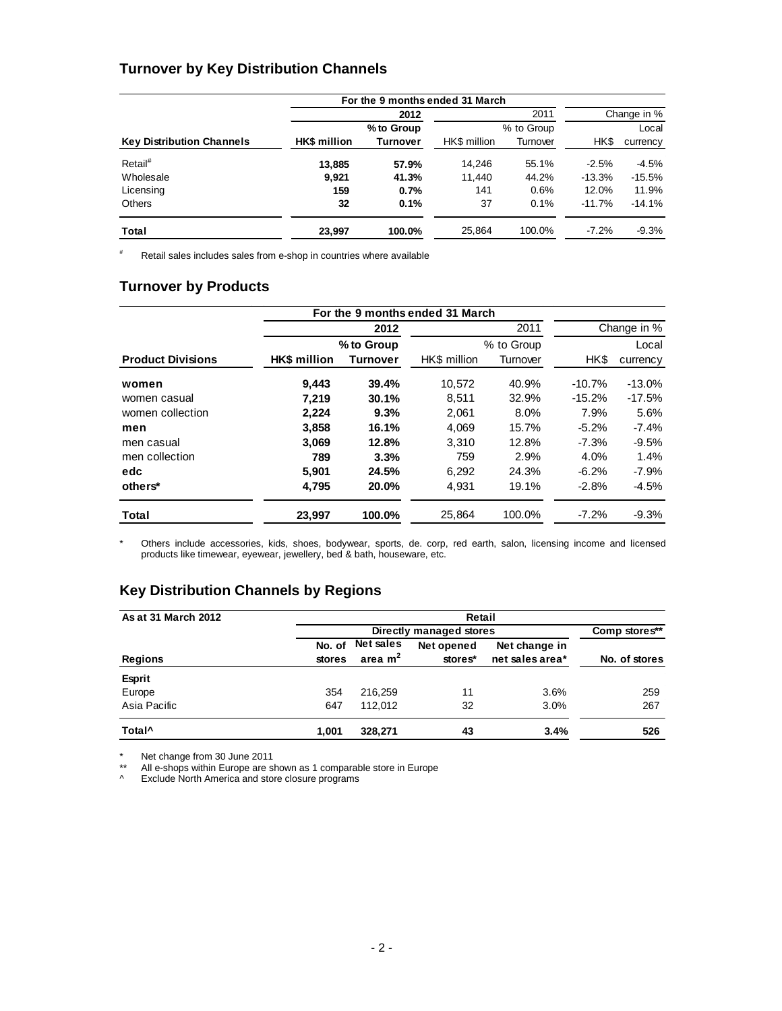### **Turnover by Key Distribution Channels**

|                                  |                     |            | For the 9 months ended 31 March |            |             |          |  |  |  |  |  |  |  |
|----------------------------------|---------------------|------------|---------------------------------|------------|-------------|----------|--|--|--|--|--|--|--|
|                                  |                     | 2012       |                                 | 2011       | Change in % |          |  |  |  |  |  |  |  |
|                                  |                     | % to Group |                                 | % to Group | Local       |          |  |  |  |  |  |  |  |
| <b>Key Distribution Channels</b> | <b>HK\$</b> million | Turnover   | HK\$ million                    | Turnover   | HK\$        | currency |  |  |  |  |  |  |  |
| Retail <sup>#</sup>              | 13.885              | 57.9%      | 14.246                          | 55.1%      | $-2.5%$     | $-4.5\%$ |  |  |  |  |  |  |  |
| Wholesale                        | 9.921               | 41.3%      | 11.440                          | 44.2%      | $-13.3%$    | $-15.5%$ |  |  |  |  |  |  |  |
| Licensing                        | 159                 | 0.7%       | 141                             | 0.6%       | 12.0%       | 11.9%    |  |  |  |  |  |  |  |
| <b>Others</b>                    | 32                  | 0.1%       | 37                              | 0.1%       | $-11.7%$    | $-14.1%$ |  |  |  |  |  |  |  |
| Total                            | 23.997              | 100.0%     | 25.864                          | 100.0%     | $-7.2%$     | $-9.3\%$ |  |  |  |  |  |  |  |

# Retail sales includes sales from e-shop in countries where available

# **Turnover by Products**

|                          |                     |            | For the 9 months ended 31 March |            |             |           |  |
|--------------------------|---------------------|------------|---------------------------------|------------|-------------|-----------|--|
|                          |                     | 2012       |                                 | 2011       | Change in % |           |  |
|                          |                     | % to Group |                                 | % to Group |             | Local     |  |
| <b>Product Divisions</b> | <b>HK\$</b> million | Turnover   | HK\$ million                    | Turnover   | HK\$        | currency  |  |
| women                    | 9.443               | 39.4%      | 10.572                          | 40.9%      | $-10.7%$    | $-13.0\%$ |  |
| women casual             | 7.219               | 30.1%      | 8,511                           | 32.9%      | $-15.2%$    | $-17.5%$  |  |
| women collection         | 2.224               | 9.3%       | 2.061                           | 8.0%       | 7.9%        | 5.6%      |  |
| men                      | 3,858               | 16.1%      | 4.069                           | 15.7%      | $-5.2%$     | $-7.4%$   |  |
| men casual               | 3.069               | 12.8%      | 3.310                           | 12.8%      | $-7.3%$     | $-9.5%$   |  |
| men collection           | 789                 | 3.3%       | 759                             | 2.9%       | 4.0%        | 1.4%      |  |
| edc                      | 5.901               | 24.5%      | 6,292                           | 24.3%      | $-6.2%$     | $-7.9%$   |  |
| others*                  | 4,795               | 20.0%      | 4.931                           | 19.1%      | $-2.8%$     | $-4.5%$   |  |
| Total                    | 23,997              | 100.0%     | 25,864                          | 100.0%     | $-7.2%$     | $-9.3%$   |  |

\* Others include accessories, kids, shoes, bodywear, sports, de. corp, red earth, salon, licensing income and licensed products like timewear, eyewear, jewellery, bed & bath, houseware, etc.

# **Key Distribution Channels by Regions**

| As at 31 March 2012 | Retail |               |            |                 |               |  |  |  |  |  |
|---------------------|--------|---------------|------------|-----------------|---------------|--|--|--|--|--|
|                     |        | Comp stores** |            |                 |               |  |  |  |  |  |
|                     | No. of | Net sales     | Net opened | Net change in   |               |  |  |  |  |  |
| <b>Regions</b>      | stores | area $m2$     | stores*    | net sales area* | No. of stores |  |  |  |  |  |
| <b>Esprit</b>       |        |               |            |                 |               |  |  |  |  |  |
| Europe              | 354    | 216.259       | 11         | 3.6%            | 259           |  |  |  |  |  |
| Asia Pacific        | 647    | 112.012       | 32         | 3.0%            | 267           |  |  |  |  |  |
| Total <sup>^</sup>  | 1.001  | 328.271       | 43         | 3.4%            | 526           |  |  |  |  |  |

\* Net change from 30 June 2011

\*\* All e-shops within Europe are shown as 1 comparable store in Europe

^ Exclude North America and store closure programs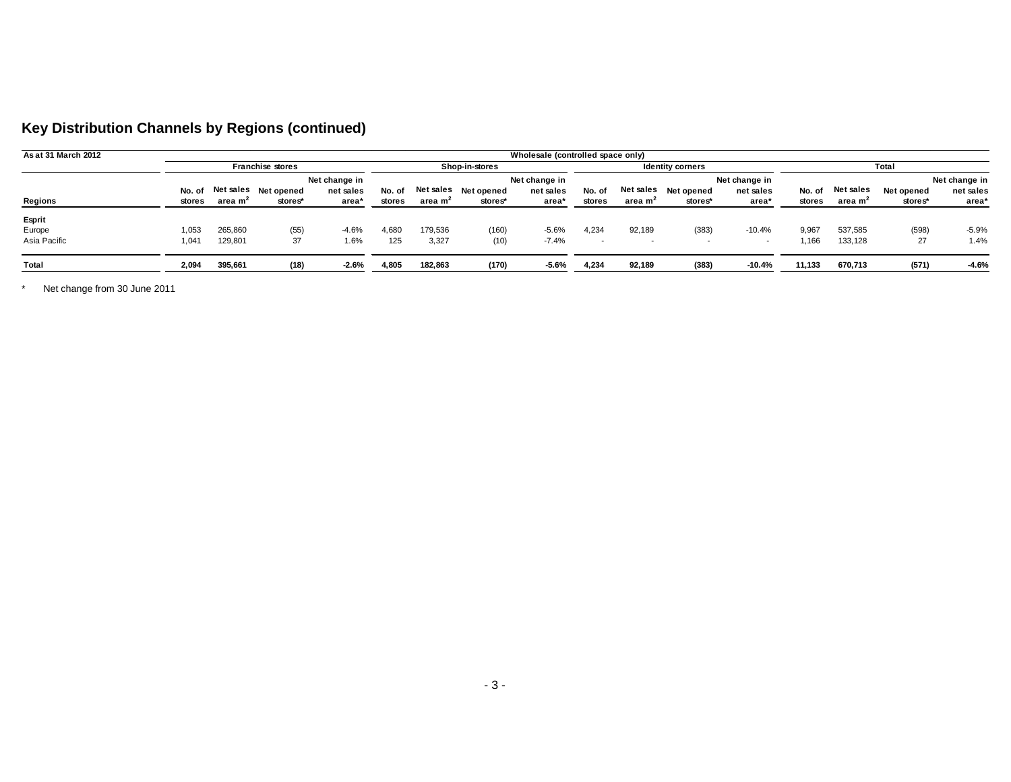| Key Distribution Channels by Regions (continued) |  |  |  |
|--------------------------------------------------|--|--|--|
|--------------------------------------------------|--|--|--|

| As at 31 March 2012 |        |                         |                    |               |                |                     |                      | Wholesale (controlled space only) |        |                     |                      |                          |        |                     |            |               |
|---------------------|--------|-------------------------|--------------------|---------------|----------------|---------------------|----------------------|-----------------------------------|--------|---------------------|----------------------|--------------------------|--------|---------------------|------------|---------------|
|                     |        | <b>Franchise stores</b> |                    |               | Shop-in-stores |                     |                      | <b>Identity corners</b>           |        |                     | Total                |                          |        |                     |            |               |
|                     |        |                         |                    | Net change in |                |                     |                      | Net change in                     |        |                     |                      | Net change in            |        |                     |            | Net change in |
|                     | No. of |                         | Netsales Netopened | net sales     | No. of         |                     | Net sales Net opened | net sales                         | No. of |                     | Net sales Net opened | net sales                | No. of | Net sales           | Net opened | net sales     |
| Regions             | stores | area m <sup>2</sup>     | stores*            | area*         | stores         | area m <sup>2</sup> | stores*              | area*                             | stores | area m <sup>2</sup> | stores*              | area*                    | stores | area m <sup>2</sup> | stores*    | area*         |
| Esprit              |        |                         |                    |               |                |                     |                      |                                   |        |                     |                      |                          |        |                     |            |               |
| Europe              | 1,053  | 265,860                 | (55)               | $-4.6%$       | 4.680          | 179,536             | (160)                | $-5.6%$                           | 4,234  | 92,189              | (383)                | $-10.4%$                 | 9,967  | 537,585             | (598)      | $-5.9%$       |
| Asia Pacific        | 1,041  | 129,801                 | 37                 | 1.6%          | 125            | 3,327               | (10)                 | $-7.4%$                           | $\sim$ |                     |                      | $\overline{\phantom{a}}$ | i.166  | 133,128             | 27         | 1.4%          |
| Total               | 2,094  | 395,661                 | (18)               | $-2.6%$       | 4,805          | 182,863             | (170)                | $-5.6%$                           | 4,234  | 92,189              | (383)                | $-10.4%$                 | 11,133 | 670,713             | (571)      | $-4.6%$       |

\* Net change from 30 June 2011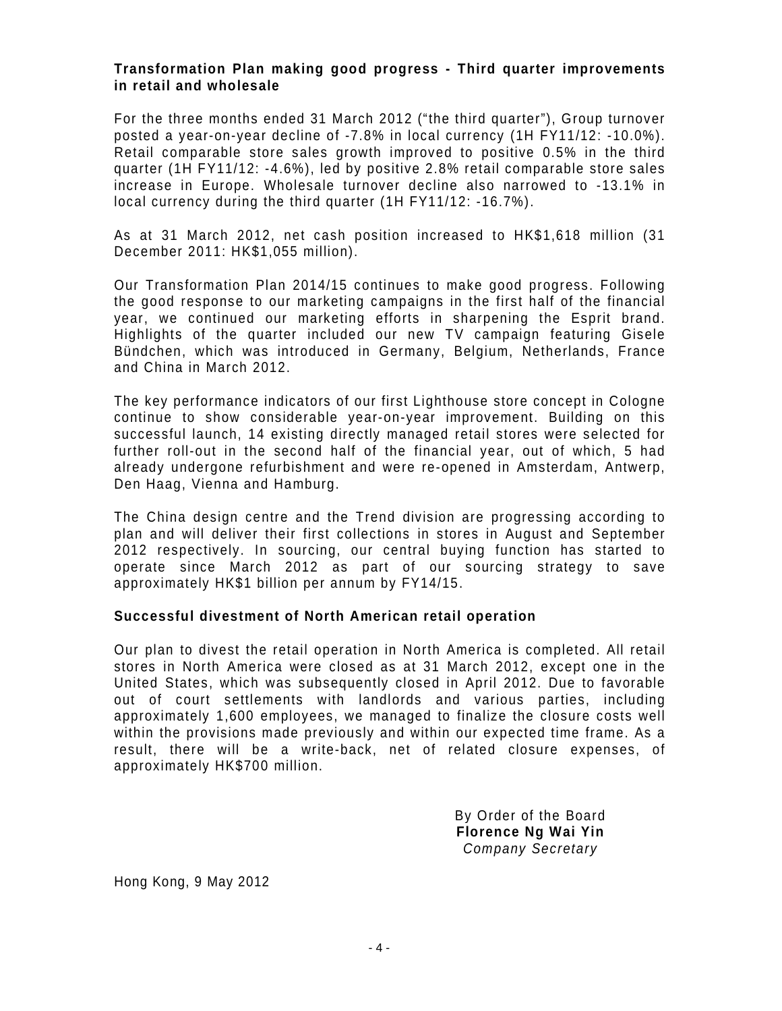#### **Transformation Plan making good progress - Third quarter improvements in retail and wholesale**

For the three months ended 31 March 2012 ("the third quarter"), Group turnover posted a year-on-year decline of -7.8% in local currency (1H FY11/12: -10.0%). Retail comparable store sales growth improved to positive 0.5% in the third quarter (1H FY11/12: -4.6%), led by positive 2.8% retail comparable store sales increase in Europe. Wholesale turnover decline also narrowed to -13.1% in local currency during the third quarter (1H FY11/12: -16.7%).

As at 31 March 2012, net cash position increased to HK\$1,618 million (31 December 2011: HK\$1,055 million).

Our Transformation Plan 2014/15 continues to make good progress. Following the good response to our marketing campaigns in the first half of the financial year, we continued our marketing efforts in sharpening the Esprit brand. Highlights of the quarter included our new TV campaign featuring Gisele Bündchen, which was introduced in Germany, Belgium, Netherlands, France and China in March 2012.

The key performance indicators of our first Lighthouse store concept in Cologne continue to show considerable year-on-year improvement. Building on this successful launch, 14 existing directly managed retail stores were selected for further roll-out in the second half of the financial year, out of which, 5 had already undergone refurbishment and were re-opened in Amsterdam, Antwerp, Den Haag, Vienna and Hamburg.

The China design centre and the Trend division are progressing according to plan and will deliver their first collections in stores in August and September 2012 respectively. In sourcing, our central buying function has started to operate since March 2012 as part of our sourcing strategy to save approximately HK\$1 billion per annum by FY14/15.

#### **Successful divestment of North American retail operation**

Our plan to divest the retail operation in North America is completed. All retail stores in North America were closed as at 31 March 2012, except one in the United States, which was subsequently closed in April 2012. Due to favorable out of court settlements with landlords and various parties, including approximately 1,600 employees, we managed to finalize the closure costs well within the provisions made previously and within our expected time frame. As a result, there will be a write-back, net of related closure expenses, of approximately HK\$700 million.

> By Order of the Board **Florence Ng Wai Yin**  Company Secretary

Hong Kong, 9 May 2012